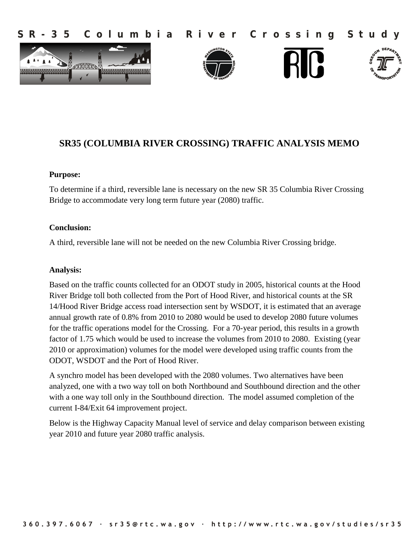**S R - 3 5 C o l u m b i a R i v e r C r o s s i n g S t u d y**









# **SR35 (COLUMBIA RIVER CROSSING) TRAFFIC ANALYSIS MEMO**

### **Purpose:**

To determine if a third, reversible lane is necessary on the new SR 35 Columbia River Crossing Bridge to accommodate very long term future year (2080) traffic.

### **Conclusion:**

A third, reversible lane will not be needed on the new Columbia River Crossing bridge.

### **Analysis:**

Based on the traffic counts collected for an ODOT study in 2005, historical counts at the Hood River Bridge toll both collected from the Port of Hood River, and historical counts at the SR 14/Hood River Bridge access road intersection sent by WSDOT, it is estimated that an average annual growth rate of 0.8% from 2010 to 2080 would be used to develop 2080 future volumes for the traffic operations model for the Crossing. For a 70-year period, this results in a growth factor of 1.75 which would be used to increase the volumes from 2010 to 2080. Existing (year 2010 or approximation) volumes for the model were developed using traffic counts from the ODOT, WSDOT and the Port of Hood River.

A synchro model has been developed with the 2080 volumes. Two alternatives have been analyzed, one with a two way toll on both Northbound and Southbound direction and the other with a one way toll only in the Southbound direction. The model assumed completion of the current I-84/Exit 64 improvement project.

Below is the Highway Capacity Manual level of service and delay comparison between existing year 2010 and future year 2080 traffic analysis.